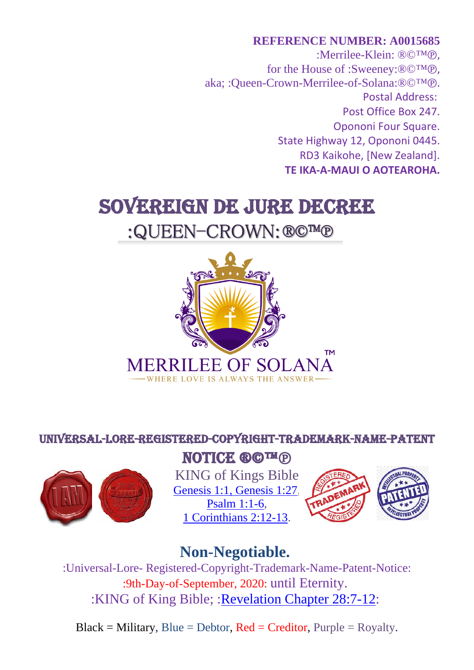**REFERENCE NUMBER: A0015685** :Merrilee-Klein: ®©™℗, for the House of :Sweeney:®©™℗, aka; :Queen-Crown-Merrilee-of-Solana:®©™℗. Postal Address: Post Office Box 247. Opononi Four Square. State Highway 12, Opononi 0445. RD3 Kaikohe, [New Zealand]. **TE IKA-A-MAUI O AOTEAROHA.**

# SOVEREIGN DE JURE DECREE

# :QUEEN-CROWN:®©™®



### UNIVERSAL-LORE-Registered-Copyright-Trademark-Name-Patent



### NOTICE ®©™®

KING of Kings Bible [Genesis 1:1, Genesis 1:27,](https://jahtruth.net/kofk-free/01.htm) [Psalm 1:1-6,](https://jahtruth.net/kofk-free/17.htm) [1 Corinthians 2:12-13.](https://jahtruth.net/kofk-free/56.htm)



## **Non-Negotiable.**

:Universal-Lore- Registered-Copyright-Trademark-Name-Patent-Notice: :9th-Day-of-September, 2020: until Eternity. :KING of King Bible; [:Revelation Chapter 28:7-12:](https://jahtruth.net/kofk-free/72.htm)

 $Black = Military, Blue = Dektor, Red = Creditor, Purple = Royalty.$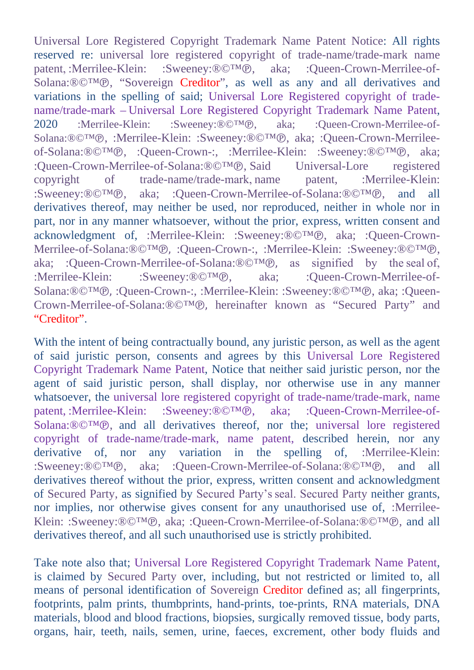Universal Lore Registered Copyright Trademark Name Patent Notice: All rights reserved re: universal lore registered copyright of trade-name/trade-mark name patent, :Merrilee-Klein: :Sweeney:®©™®, aka; :Queen-Crown-Merrilee-of-Solana:®©™℗, "Sovereign Creditor", as well as any and all derivatives and variations in the spelling of said; Universal Lore Registered copyright of tradename/trade-mark – Universal Lore Registered Copyright Trademark Name Patent, 2020 :Merrilee-Klein: :Sweeney:®©™℗, aka; :Queen-Crown-Merrilee-of-Solana:®©™℗, :Merrilee-Klein: :Sweeney:®©™℗, aka; :Queen-Crown-Merrileeof-Solana:®©™℗, :Queen-Crown-:, :Merrilee-Klein: :Sweeney:®©™℗, aka;<br>:Oueen-Crown-Merrilee-of-Solana:®©™℗, Said Universal-Lore registered :Queen-Crown-Merrilee-of-Solana:®©™®, Said Universal-Lore registered convright of trade-name/trade-mark name patent. :Merrilee-Klein: trade-name/trade-mark, name :Sweeney:®©™℗, aka; :Queen-Crown-Merrilee-of-Solana:®©™℗, and all derivatives thereof, may neither be used, nor reproduced, neither in whole nor in part, nor in any manner whatsoever, without the prior, express, written consent and acknowledgment of, :Merrilee-Klein: :Sweeney:®©™℗, aka; :Queen-Crown-Merrilee-of-Solana:®©™℗, :Queen-Crown-:, :Merrilee-Klein: :Sweeney:®©™℗, aka: :Oueen-Crown-Merrilee-of-Solana:®©™℗, as signified by the seal of. aka; :Queen-Crown-Merrilee-of-Solana:®©™®,<br>:Merrilee-Klein: :Sweeney:®©™®, aka; :Oueen-Crown-Merrilee-of-Solana:®©™℗, :Queen-Crown-:, :Merrilee-Klein: :Sweeney:®©™℗, aka; :Queen-Crown-Merrilee-of-Solana:®©™℗, hereinafter known as "Secured Party" and "Creditor".

With the intent of being contractually bound, any juristic person, as well as the agent of said juristic person, consents and agrees by this Universal Lore Registered Copyright Trademark Name Patent, Notice that neither said juristic person, nor the agent of said juristic person, shall display, nor otherwise use in any manner whatsoever, the universal lore registered copyright of trade-name/trade-mark, name patent, :Merrilee-Klein: :Sweeney:®©™®, aka; :Queen-Crown-Merrilee-of-Solana:®©™℗, and all derivatives thereof, nor the; universal lore registered copyright of trade-name/trade-mark, name patent, described herein, nor any derivative of, nor any variation in the spelling of, :Merrilee-Klein: :Sweeney:®©™℗, aka; :Queen-Crown-Merrilee-of-Solana:®©™℗, and all derivatives thereof without the prior, express, written consent and acknowledgment of Secured Party, as signified by Secured Party's seal. Secured Party neither grants, nor implies, nor otherwise gives consent for any unauthorised use of, :Merrilee-Klein: :Sweeney:®©™℗, aka; :Queen-Crown-Merrilee-of-Solana:®©™℗, and all derivatives thereof, and all such unauthorised use is strictly prohibited.

Take note also that; Universal Lore Registered Copyright Trademark Name Patent, is claimed by Secured Party over, including, but not restricted or limited to, all means of personal identification of Sovereign Creditor defined as; all fingerprints, footprints, palm prints, thumbprints, hand-prints, toe-prints, RNA materials, DNA materials, blood and blood fractions, biopsies, surgically removed tissue, body parts, organs, hair, teeth, nails, semen, urine, faeces, excrement, other body fluids and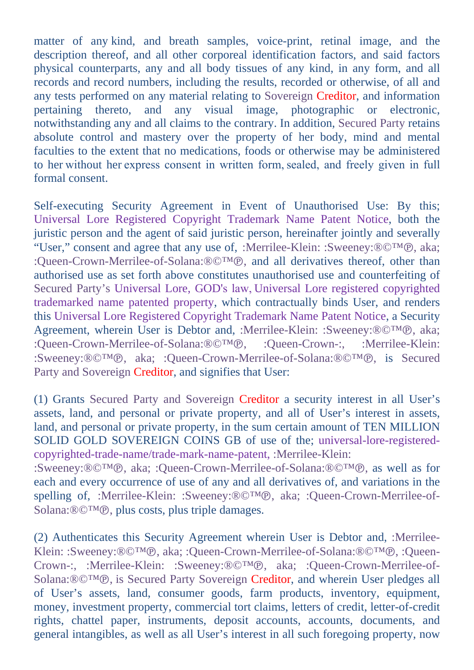matter of any kind, and breath samples, voice-print, retinal image, and the description thereof, and all other corporeal identification factors, and said factors physical counterparts, any and all body tissues of any kind, in any form, and all records and record numbers, including the results, recorded or otherwise, of all and any tests performed on any material relating to Sovereign Creditor, and information pertaining thereto, and any visual image, photographic or electronic, notwithstanding any and all claims to the contrary. In addition, Secured Party retains absolute control and mastery over the property of her body, mind and mental faculties to the extent that no medications, foods or otherwise may be administered to her without her express consent in written form, sealed, and freely given in full formal consent.

Self-executing Security Agreement in Event of Unauthorised Use: By this; Universal Lore Registered Copyright Trademark Name Patent Notice, both the juristic person and the agent of said juristic person, hereinafter jointly and severally "User," consent and agree that any use of, :Merrilee-Klein: :Sweeney:®©™℗, aka; :Queen-Crown-Merrilee-of-Solana:®©™℗, and all derivatives thereof, other than authorised use as set forth above constitutes unauthorised use and counterfeiting of Secured Party's Universal Lore, GOD's law, Universal Lore registered copyrighted trademarked name patented property, which contractually binds User, and renders this Universal Lore Registered Copyright Trademark Name Patent Notice, a Security Agreement, wherein User is Debtor and, :Merrilee-Klein: :Sweeney:®©™®, aka;<br>:Oueen-Crown-Merrilee-of-Solana:®©™®, :Oueen-Crown-:, :Merrilee-Klein: :Oueen-Crown-Merrilee-of-Solana:®©™®, :Sweeney:®©™℗, aka; :Queen-Crown-Merrilee-of-Solana:®©™℗, is Secured Party and Sovereign Creditor, and signifies that User:

(1) Grants Secured Party and Sovereign Creditor a security interest in all User's assets, land, and personal or private property, and all of User's interest in assets, land, and personal or private property, in the sum certain amount of TEN MILLION SOLID GOLD SOVEREIGN COINS GB of use of the; universal-lore-registeredcopyrighted-trade-name/trade-mark-name-patent, :Merrilee-Klein:

:Sweeney:®©™℗, aka; :Queen-Crown-Merrilee-of-Solana:®©™℗, as well as for each and every occurrence of use of any and all derivatives of, and variations in the spelling of, :Merrilee-Klein: :Sweeney:®©™℗, aka; :Queen-Crown-Merrilee-of-Solana:®©™℗, plus costs, plus triple damages.

(2) Authenticates this Security Agreement wherein User is Debtor and, :Merrilee-Klein: :Sweeney:®©™℗, aka; :Queen-Crown-Merrilee-of-Solana:®©™℗, :Queen-Crown-:, :Merrilee-Klein: :Sweeney:®©™℗, aka; :Queen-Crown-Merrilee-of-Solana:®©™℗, is Secured Party Sovereign Creditor, and wherein User pledges all of User's assets, land, consumer goods, farm products, inventory, equipment, money, investment property, commercial tort claims, letters of credit, letter-of-credit rights, chattel paper, instruments, deposit accounts, accounts, documents, and general intangibles, as well as all User's interest in all such foregoing property, now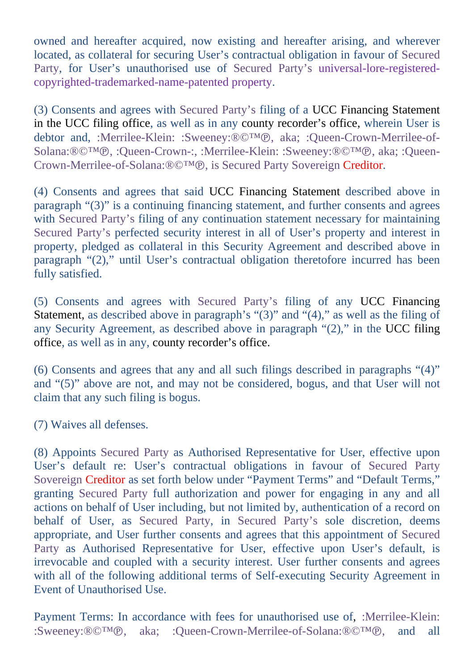owned and hereafter acquired, now existing and hereafter arising, and wherever located, as collateral for securing User's contractual obligation in favour of Secured Party, for User's unauthorised use of Secured Party's universal-lore-registeredcopyrighted-trademarked-name-patented property.

(3) Consents and agrees with Secured Party's filing of a UCC Financing Statement in the UCC filing office, as well as in any county recorder's office, wherein User is debtor and, :Merrilee-Klein: :Sweeney:®©™℗, aka; :Queen-Crown-Merrilee-of-Solana:®©™℗, :Queen-Crown-:, :Merrilee-Klein: :Sweeney:®©™℗, aka; :Queen-Crown-Merrilee-of-Solana:®©™℗, is Secured Party Sovereign Creditor.

(4) Consents and agrees that said UCC Financing Statement described above in paragraph "(3)" is a continuing financing statement, and further consents and agrees with Secured Party's filing of any continuation statement necessary for maintaining Secured Party's perfected security interest in all of User's property and interest in property, pledged as collateral in this Security Agreement and described above in paragraph "(2)," until User's contractual obligation theretofore incurred has been fully satisfied.

(5) Consents and agrees with Secured Party's filing of any UCC Financing Statement, as described above in paragraph's " $(3)$ " and " $(4)$ ," as well as the filing of any Security Agreement, as described above in paragraph "(2)," in the UCC filing office, as well as in any, county recorder's office.

(6) Consents and agrees that any and all such filings described in paragraphs "(4)" and "(5)" above are not, and may not be considered, bogus, and that User will not claim that any such filing is bogus.

(7) Waives all defenses.

(8) Appoints Secured Party as Authorised Representative for User, effective upon User's default re: User's contractual obligations in favour of Secured Party Sovereign Creditor as set forth below under "Payment Terms" and "Default Terms," granting Secured Party full authorization and power for engaging in any and all actions on behalf of User including, but not limited by, authentication of a record on behalf of User, as Secured Party, in Secured Party's sole discretion, deems appropriate, and User further consents and agrees that this appointment of Secured Party as Authorised Representative for User, effective upon User's default, is irrevocable and coupled with a security interest. User further consents and agrees with all of the following additional terms of Self-executing Security Agreement in Event of Unauthorised Use.

Payment Terms: In accordance with fees for unauthorised use of, :Merrilee-Klein: :Sweeney:®©™℗, aka; :Queen-Crown-Merrilee-of-Solana:®©™℗, and all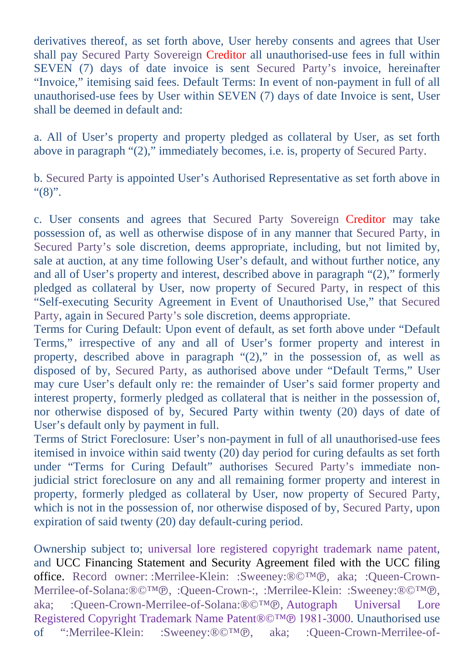derivatives thereof, as set forth above, User hereby consents and agrees that User shall pay Secured Party Sovereign Creditor all unauthorised-use fees in full within SEVEN (7) days of date invoice is sent Secured Party's invoice, hereinafter "Invoice," itemising said fees. Default Terms: In event of non-payment in full of all unauthorised-use fees by User within SEVEN (7) days of date Invoice is sent, User shall be deemed in default and:

a. All of User's property and property pledged as collateral by User, as set forth above in paragraph "(2)," immediately becomes, i.e. is, property of Secured Party.

b. Secured Party is appointed User's Authorised Representative as set forth above in "(8)".

c. User consents and agrees that Secured Party Sovereign Creditor may take possession of, as well as otherwise dispose of in any manner that Secured Party, in Secured Party's sole discretion, deems appropriate, including, but not limited by, sale at auction, at any time following User's default, and without further notice, any and all of User's property and interest, described above in paragraph "(2)," formerly pledged as collateral by User, now property of Secured Party, in respect of this "Self-executing Security Agreement in Event of Unauthorised Use," that Secured Party, again in Secured Party's sole discretion, deems appropriate.

Terms for Curing Default: Upon event of default, as set forth above under "Default Terms," irrespective of any and all of User's former property and interest in property, described above in paragraph "(2)," in the possession of, as well as disposed of by, Secured Party, as authorised above under "Default Terms," User may cure User's default only re: the remainder of User's said former property and interest property, formerly pledged as collateral that is neither in the possession of, nor otherwise disposed of by, Secured Party within twenty (20) days of date of User's default only by payment in full.

Terms of Strict Foreclosure: User's non-payment in full of all unauthorised-use fees itemised in invoice within said twenty (20) day period for curing defaults as set forth under "Terms for Curing Default" authorises Secured Party's immediate nonjudicial strict foreclosure on any and all remaining former property and interest in property, formerly pledged as collateral by User, now property of Secured Party, which is not in the possession of, nor otherwise disposed of by, Secured Party, upon expiration of said twenty (20) day default-curing period.

Ownership subject to; universal lore registered copyright trademark name patent, and UCC Financing Statement and Security Agreement filed with the UCC filing office. Record owner: :Merrilee-Klein: :Sweeney:®©™℗, aka; :Queen-Crown-Merrilee-of-Solana:<sup>®©™</sup>®, :Queen-Crown-:, :Merrilee-Klein: :Sweeney:®©™®, aka: :Oueen-Crown-Merrilee-of-Solana:®©™®, Autograph Universal Lore :Queen-Crown-Merrilee-of-Solana:®©™℗, Autograph Registered Copyright Trademark Name Patent®©™® 1981-3000. Unauthorised use<br>of ":Merrilee-Klein: :Sweeney:®©™®. aka: :Oueen-Crown-Merrilee-of- $\cdot$ ":Merrilee-Klein: :Sweeney:®©™®, aka: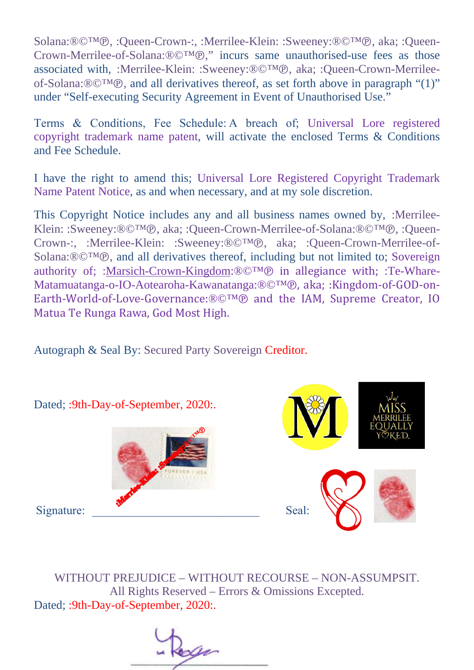Solana:®©™℗, :Queen-Crown-:, :Merrilee-Klein: :Sweeney:®©™℗, aka; :Queen-Crown-Merrilee-of-Solana:®©™℗," incurs same unauthorised-use fees as those associated with, :Merrilee-Klein: :Sweeney:®©™℗, aka; :Queen-Crown-Merrileeof-Solana:®©™℗, and all derivatives thereof, as set forth above in paragraph "(1)" under "Self-executing Security Agreement in Event of Unauthorised Use."

Terms & Conditions, Fee Schedule: A breach of; Universal Lore registered copyright trademark name patent, will activate the enclosed Terms & Conditions and Fee Schedule.

I have the right to amend this; Universal Lore Registered Copyright Trademark Name Patent Notice, as and when necessary, and at my sole discretion.

This Copyright Notice includes any and all business names owned by, :Merrilee-Klein: :Sweeney:®©™℗, aka; :Queen-Crown-Merrilee-of-Solana:®©™℗, :Queen-Crown-:, :Merrilee-Klein: :Sweeney:®©™℗, aka; :Queen-Crown-Merrilee-of-Solana:®©™®, and all derivatives thereof, including but not limited to; Sovereign authority of; [:Marsich-Crown-Kingdom:](https://marsich-crown-kingdom.weebly.com/)®©™℗ in allegiance with; :Te-Whare-Matamuatanga-o-IO-Aotearoha-Kawanatanga:®©™℗, aka; :Kingdom-of-GOD-on-Earth-World-of-Love-Governance:®©™℗ and the IAM, Supreme Creator, IO Matua Te Runga Rawa, God Most High.

Autograph & Seal By: Secured Party Sovereign Creditor.



WITHOUT PREJUDICE – WITHOUT RECOURSE – NON-ASSUMPSIT. All Rights Reserved – Errors & Omissions Excepted. Dated; :9th-Day-of-September, 2020:.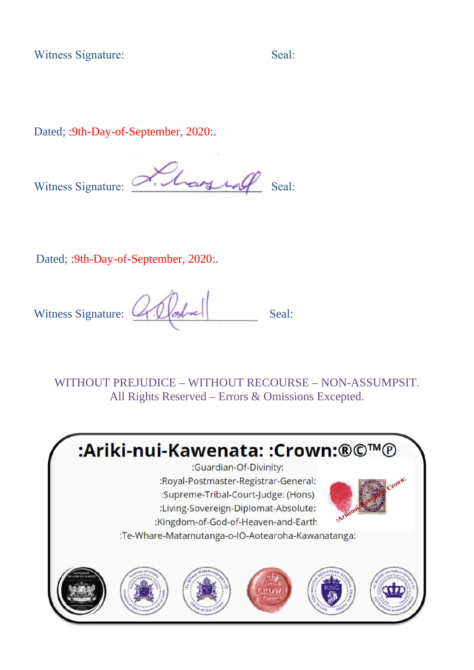Witness Signature: Seal: Seal: Seal: Seal: Seal: Seal: Seal: Seal: Seal: Seal: Seal: Seal: Seal: Seal: Seal: Seal: Seal: Seal: Seal: Seal: Seal: Seal: Seal: Seal: Seal: Seal: Seal: Seal: Seal: Seal: Seal: Seal: Seal: Seal:

Dated; : 9th-Day-of-September, 2020:.

Witness Signature: Alay 108 Seal:

Dated; :9th-Day-of-September, 2020:.

Witness Signature:  $\mathbb{Z}[\mathbb{Z}]$  Seal:

WITHOUT PREJUDICE – WITHOUT RECOURSE – NON-ASSUMPSIT. All Rights Reserved – Errors & Omissions Excepted.

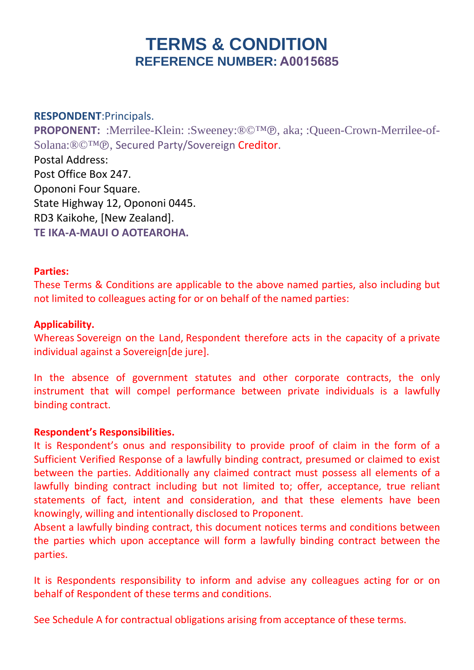## **TERMS & CONDITION REFERENCE NUMBER: A0015685**

**RESPONDENT**:Principals. **PROPONENT:** :Merrilee-Klein: :Sweeney:®©™℗, aka; :Queen-Crown-Merrilee-of-Solana:®©™℗, Secured Party/Sovereign Creditor. Postal Address: Post Office Box 247. Opononi Four Square. State Highway 12, Opononi 0445. RD3 Kaikohe, [New Zealand]. **TE IKA-A-MAUI O AOTEAROHA.**

#### **Parties:**

These Terms & Conditions are applicable to the above named parties, also including but not limited to colleagues acting for or on behalf of the named parties:

#### **Applicability.**

Whereas Sovereign on the Land, Respondent therefore acts in the capacity of a private individual against a Sovereign[de jure].

In the absence of government statutes and other corporate contracts, the only instrument that will compel performance between private individuals is a lawfully binding contract. 

#### **Respondent's Responsibilities.**

It is Respondent's onus and responsibility to provide proof of claim in the form of a Sufficient Verified Response of a lawfully binding contract, presumed or claimed to exist between the parties. Additionally any claimed contract must possess all elements of a lawfully binding contract including but not limited to; offer, acceptance, true reliant statements of fact, intent and consideration, and that these elements have been knowingly, willing and intentionally disclosed to Proponent. 

Absent a lawfully binding contract, this document notices terms and conditions between the parties which upon acceptance will form a lawfully binding contract between the parties. 

It is Respondents responsibility to inform and advise any colleagues acting for or on behalf of Respondent of these terms and conditions. 

See Schedule A for contractual obligations arising from acceptance of these terms.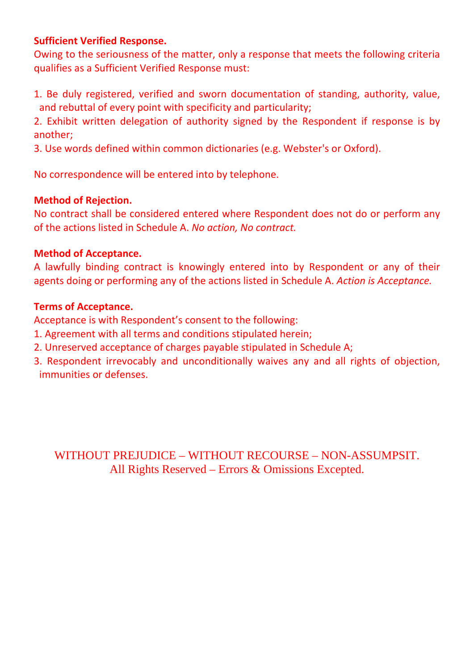#### **Sufficient Verified Response.**

Owing to the seriousness of the matter, only a response that meets the following criteria qualifies as a Sufficient Verified Response must: 

1. Be duly registered, verified and sworn documentation of standing, authority, value, and rebuttal of every point with specificity and particularity; 

2. Exhibit written delegation of authority signed by the Respondent if response is by another; 

3. Use words defined within common dictionaries (e.g. Webster's or Oxford). 

No correspondence will be entered into by telephone. 

#### **Method of Rejection.**

No contract shall be considered entered where Respondent does not do or perform any of the actions listed in Schedule A. *No action, No contract.*

#### **Method of Acceptance.**

A lawfully binding contract is knowingly entered into by Respondent or any of their agents doing or performing any of the actions listed in Schedule A. *Action is Acceptance.*

#### **Terms of Acceptance.**

Acceptance is with Respondent's consent to the following:  

- 1. Agreement with all terms and conditions stipulated herein;
- 2. Unreserved acceptance of charges payable stipulated in Schedule A;
- 3. Respondent irrevocably and unconditionally waives any and all rights of objection, immunities or defenses.

WITHOUT PREJUDICE – WITHOUT RECOURSE – NON-ASSUMPSIT. All Rights Reserved – Errors & Omissions Excepted.